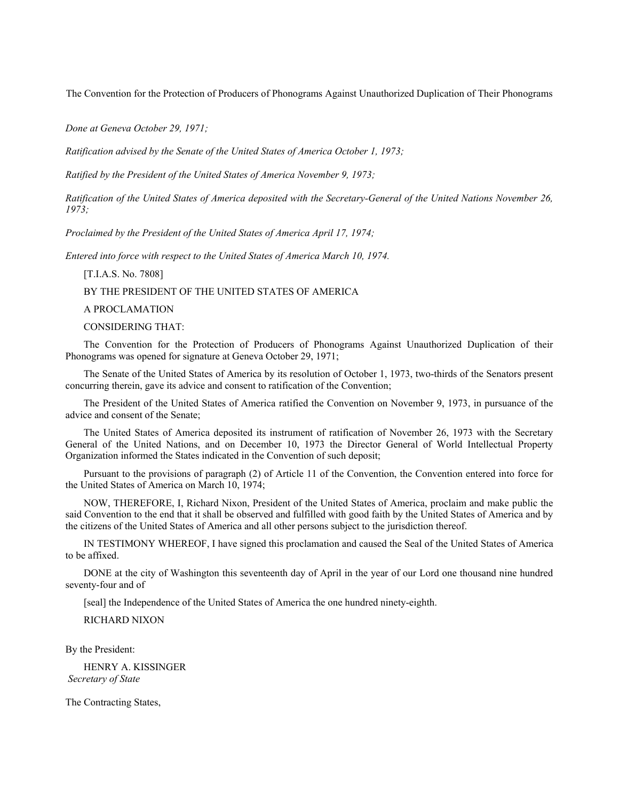The Convention for the Protection of Producers of Phonograms Against Unauthorized Duplication of Their Phonograms

*Done at Geneva October 29, 1971;*

*Ratification advised by the Senate of the United States of America October 1, 1973;*

*Ratified by the President of the United States of America November 9, 1973;*

*Ratification of the United States of America deposited with the Secretary-General of the United Nations November 26, 1973;*

*Proclaimed by the President of the United States of America April 17, 1974;*

*Entered into force with respect to the United States of America March 10, 1974.*

# [T.I.A.S. No. 7808]

BY THE PRESIDENT OF THE UNITED STATES OF AMERICA

### A PROCLAMATION

### CONSIDERING THAT:

The Convention for the Protection of Producers of Phonograms Against Unauthorized Duplication of their Phonograms was opened for signature at Geneva October 29, 1971;

The Senate of the United States of America by its resolution of October 1, 1973, two-thirds of the Senators present concurring therein, gave its advice and consent to ratification of the Convention;

The President of the United States of America ratified the Convention on November 9, 1973, in pursuance of the advice and consent of the Senate;

The United States of America deposited its instrument of ratification of November 26, 1973 with the Secretary General of the United Nations, and on December 10, 1973 the Director General of World Intellectual Property Organization informed the States indicated in the Convention of such deposit;

Pursuant to the provisions of paragraph (2) of Article 11 of the Convention, the Convention entered into force for the United States of America on March 10, 1974;

NOW, THEREFORE, I, Richard Nixon, President of the United States of America, proclaim and make public the said Convention to the end that it shall be observed and fulfilled with good faith by the United States of America and by the citizens of the United States of America and all other persons subject to the jurisdiction thereof.

IN TESTIMONY WHEREOF, I have signed this proclamation and caused the Seal of the United States of America to be affixed.

DONE at the city of Washington this seventeenth day of April in the year of our Lord one thousand nine hundred seventy-four and of

[seal] the Independence of the United States of America the one hundred ninety-eighth.

## RICHARD NIXON

By the President:

HENRY A. KISSINGER *Secretary of State*

The Contracting States,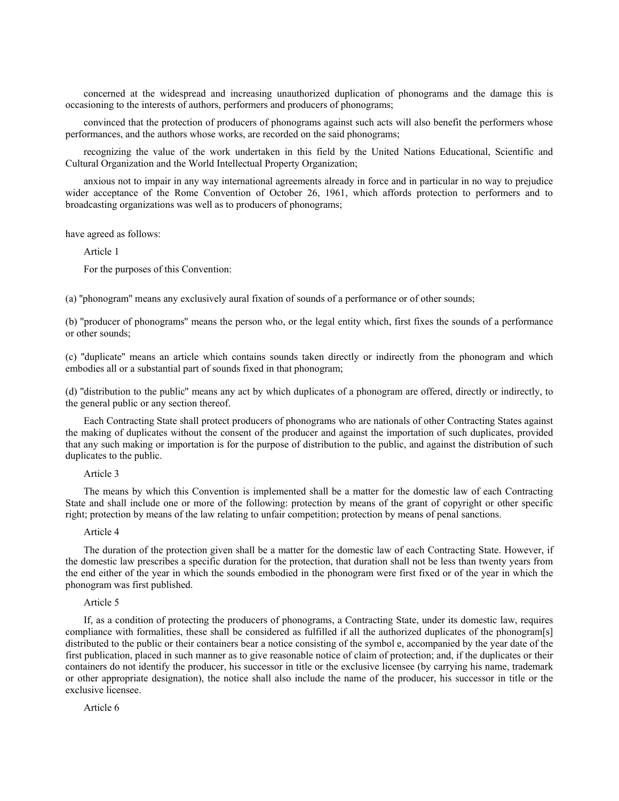concerned at the widespread and increasing unauthorized duplication of phonograms and the damage this is occasioning to the interests of authors, performers and producers of phonograms;

convinced that the protection of producers of phonograms against such acts will also benefit the performers whose performances, and the authors whose works, are recorded on the said phonograms;

recognizing the value of the work undertaken in this field by the United Nations Educational, Scientific and Cultural Organization and the World Intellectual Property Organization;

anxious not to impair in any way international agreements already in force and in particular in no way to prejudice wider acceptance of the Rome Convention of October 26, 1961, which affords protection to performers and to broadcasting organizations was well as to producers of phonograms;

have agreed as follows:

Article 1

For the purposes of this Convention:

(a) "phonogram" means any exclusively aural fixation of sounds of a performance or of other sounds;

(b) ''producer of phonograms'' means the person who, or the legal entity which, first fixes the sounds of a performance or other sounds;

(c) ''duplicate'' means an article which contains sounds taken directly or indirectly from the phonogram and which embodies all or a substantial part of sounds fixed in that phonogram;

(d) ''distribution to the public'' means any act by which duplicates of a phonogram are offered, directly or indirectly, to the general public or any section thereof.

Each Contracting State shall protect producers of phonograms who are nationals of other Contracting States against the making of duplicates without the consent of the producer and against the importation of such duplicates, provided that any such making or importation is for the purpose of distribution to the public, and against the distribution of such duplicates to the public.

#### Article 3

The means by which this Convention is implemented shall be a matter for the domestic law of each Contracting State and shall include one or more of the following: protection by means of the grant of copyright or other specific right; protection by means of the law relating to unfair competition; protection by means of penal sanctions.

### Article 4

The duration of the protection given shall be a matter for the domestic law of each Contracting State. However, if the domestic law prescribes a specific duration for the protection, that duration shall not be less than twenty years from the end either of the year in which the sounds embodied in the phonogram were first fixed or of the year in which the phonogram was first published.

#### Article 5

If, as a condition of protecting the producers of phonograms, a Contracting State, under its domestic law, requires compliance with formalities, these shall be considered as fulfilled if all the authorized duplicates of the phonogram[s] distributed to the public or their containers bear a notice consisting of the symbol e, accompanied by the year date of the first publication, placed in such manner as to give reasonable notice of claim of protection; and, if the duplicates or their containers do not identify the producer, his successor in title or the exclusive licensee (by carrying his name, trademark or other appropriate designation), the notice shall also include the name of the producer, his successor in title or the exclusive licensee.

Article 6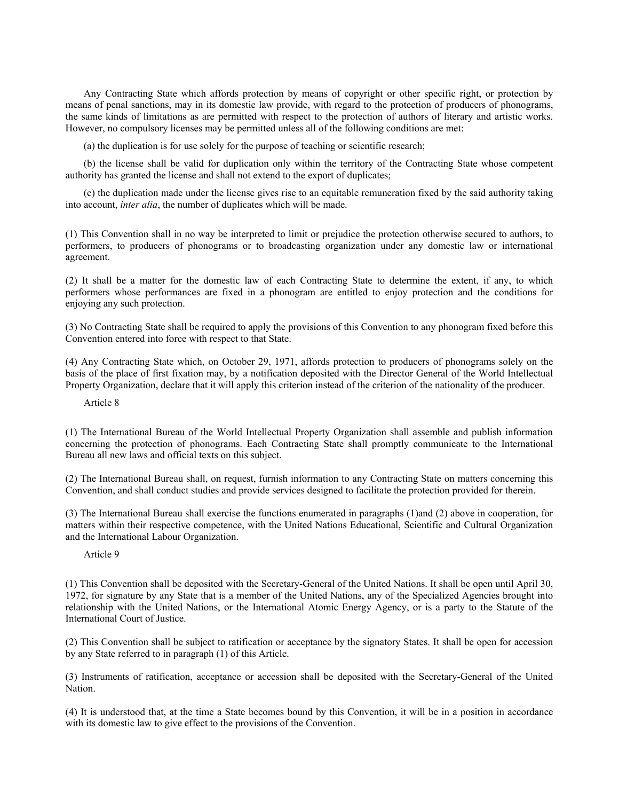Any Contracting State which affords protection by means of copyright or other specific right, or protection by means of penal sanctions, may in its domestic law provide, with regard to the protection of producers of phonograms, the same kinds of limitations as are permitted with respect to the protection of authors of literary and artistic works. However, no compulsory licenses may be permitted unless all of the following conditions are met:

(a) the duplication is for use solely for the purpose of teaching or scientific research;

(b) the license shall be valid for duplication only within the territory of the Contracting State whose competent authority has granted the license and shall not extend to the export of duplicates;

(c) the duplication made under the license gives rise to an equitable remuneration fixed by the said authority taking into account, *inter alia*, the number of duplicates which will be made.

(1) This Convention shall in no way be interpreted to limit or prejudice the protection otherwise secured to authors, to performers, to producers of phonograms or to broadcasting organization under any domestic law or international agreement.

(2) It shall be a matter for the domestic law of each Contracting State to determine the extent, if any, to which performers whose performances are fixed in a phonogram are entitled to enjoy protection and the conditions for enjoying any such protection.

(3) No Contracting State shall be required to apply the provisions of this Convention to any phonogram fixed before this Convention entered into force with respect to that State.

(4) Any Contracting State which, on October 29, 1971, affords protection to producers of phonograms solely on the basis of the place of first fixation may, by a notification deposited with the Director General of the World Intellectual Property Organization, declare that it will apply this criterion instead of the criterion of the nationality of the producer.

Article 8

(1) The International Bureau of the World Intellectual Property Organization shall assemble and publish information concerning the protection of phonograms. Each Contracting State shall promptly communicate to the International Bureau all new laws and official texts on this subject.

(2) The International Bureau shall, on request, furnish information to any Contracting State on matters concerning this Convention, and shall conduct studies and provide services designed to facilitate the protection provided for therein.

(3) The International Bureau shall exercise the functions enumerated in paragraphs (1)and (2) above in cooperation, for matters within their respective competence, with the United Nations Educational, Scientific and Cultural Organization and the International Labour Organization.

Article 9

(1) This Convention shall be deposited with the Secretary-General of the United Nations. It shall be open until April 30, 1972, for signature by any State that is a member of the United Nations, any of the Specialized Agencies brought into relationship with the United Nations, or the International Atomic Energy Agency, or is a party to the Statute of the International Court of Justice.

(2) This Convention shall be subject to ratification or acceptance by the signatory States. It shall be open for accession by any State referred to in paragraph (1) of this Article.

(3) Instruments of ratification, acceptance or accession shall be deposited with the Secretary-General of the United Nation.

(4) It is understood that, at the time a State becomes bound by this Convention, it will be in a position in accordance with its domestic law to give effect to the provisions of the Convention.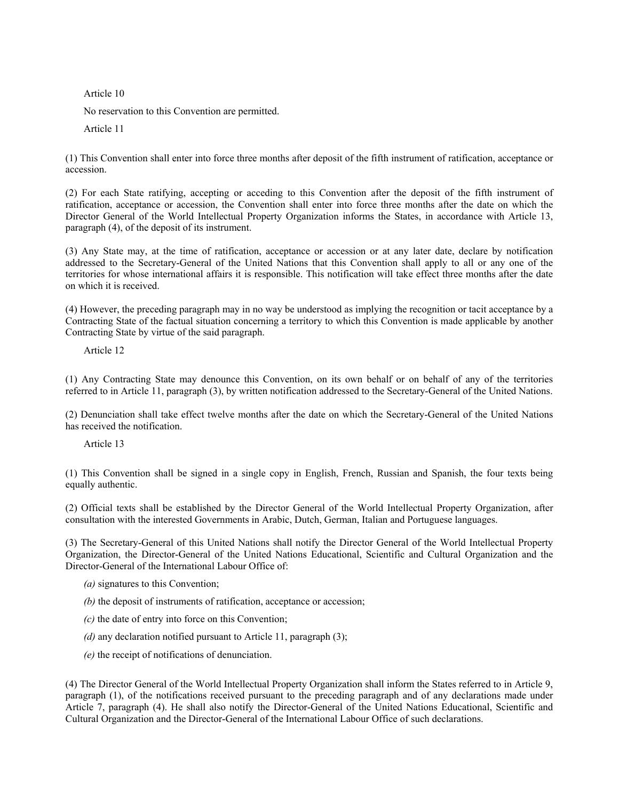Article 10

No reservation to this Convention are permitted.

Article 11

(1) This Convention shall enter into force three months after deposit of the fifth instrument of ratification, acceptance or accession.

(2) For each State ratifying, accepting or acceding to this Convention after the deposit of the fifth instrument of ratification, acceptance or accession, the Convention shall enter into force three months after the date on which the Director General of the World Intellectual Property Organization informs the States, in accordance with Article 13, paragraph (4), of the deposit of its instrument.

(3) Any State may, at the time of ratification, acceptance or accession or at any later date, declare by notification addressed to the Secretary-General of the United Nations that this Convention shall apply to all or any one of the territories for whose international affairs it is responsible. This notification will take effect three months after the date on which it is received.

(4) However, the preceding paragraph may in no way be understood as implying the recognition or tacit acceptance by a Contracting State of the factual situation concerning a territory to which this Convention is made applicable by another Contracting State by virtue of the said paragraph.

Article 12

(1) Any Contracting State may denounce this Convention, on its own behalf or on behalf of any of the territories referred to in Article 11, paragraph (3), by written notification addressed to the Secretary-General of the United Nations.

(2) Denunciation shall take effect twelve months after the date on which the Secretary-General of the United Nations has received the notification.

Article 13

(1) This Convention shall be signed in a single copy in English, French, Russian and Spanish, the four texts being equally authentic.

(2) Official texts shall be established by the Director General of the World Intellectual Property Organization, after consultation with the interested Governments in Arabic, Dutch, German, Italian and Portuguese languages.

(3) The Secretary-General of this United Nations shall notify the Director General of the World Intellectual Property Organization, the Director-General of the United Nations Educational, Scientific and Cultural Organization and the Director-General of the International Labour Office of:

- *(a)* signatures to this Convention;
- *(b)* the deposit of instruments of ratification, acceptance or accession;
- *(c)* the date of entry into force on this Convention;
- *(d)* any declaration notified pursuant to Article 11, paragraph (3);
- *(e)* the receipt of notifications of denunciation.

(4) The Director General of the World Intellectual Property Organization shall inform the States referred to in Article 9, paragraph (1), of the notifications received pursuant to the preceding paragraph and of any declarations made under Article 7, paragraph (4). He shall also notify the Director-General of the United Nations Educational, Scientific and Cultural Organization and the Director-General of the International Labour Office of such declarations.